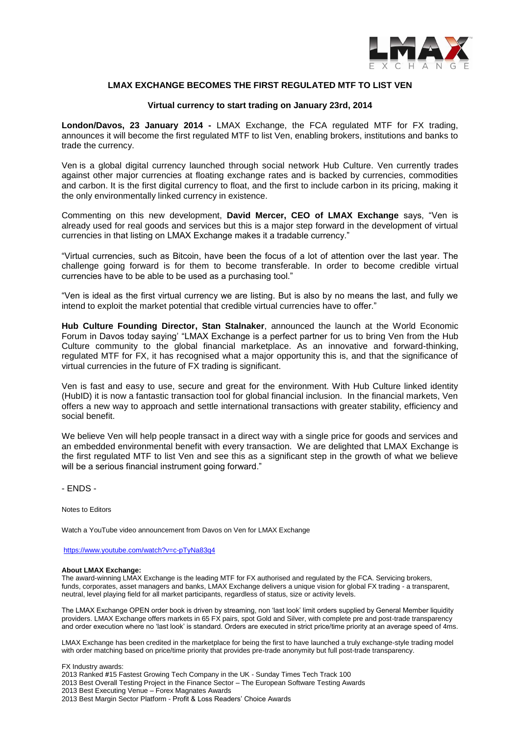

## **LMAX EXCHANGE BECOMES THE FIRST REGULATED MTF TO LIST VEN**

## **Virtual currency to start trading on January 23rd, 2014**

**London/Davos, 23 January 2014 -** LMAX Exchange, the FCA regulated MTF for FX trading, announces it will become the first regulated MTF to list Ven, enabling brokers, institutions and banks to trade the currency.

Ven is a global digital currency launched through social network Hub Culture. Ven currently trades against other major currencies at floating exchange rates and is backed by currencies, commodities and carbon. It is the first digital currency to float, and the first to include carbon in its pricing, making it the only environmentally linked currency in existence.

Commenting on this new development, **David Mercer, CEO of LMAX Exchange** says, "Ven is already used for real goods and services but this is a major step forward in the development of virtual currencies in that listing on LMAX Exchange makes it a tradable currency."

"Virtual currencies, such as Bitcoin, have been the focus of a lot of attention over the last year. The challenge going forward is for them to become transferable. In order to become credible virtual currencies have to be able to be used as a purchasing tool."

"Ven is ideal as the first virtual currency we are listing. But is also by no means the last, and fully we intend to exploit the market potential that credible virtual currencies have to offer."

**Hub Culture Founding Director, Stan Stalnaker**, announced the launch at the World Economic Forum in Davos today saying' "LMAX Exchange is a perfect partner for us to bring Ven from the Hub Culture community to the global financial marketplace. As an innovative and forward-thinking, regulated MTF for FX, it has recognised what a major opportunity this is, and that the significance of virtual currencies in the future of FX trading is significant.

Ven is fast and easy to use, secure and great for the environment. With Hub Culture linked identity (HubID) it is now a fantastic transaction tool for global financial inclusion. In the financial markets, Ven offers a new way to approach and settle international transactions with greater stability, efficiency and social benefit.

We believe Ven will help people transact in a direct way with a single price for goods and services and an embedded environmental benefit with every transaction. We are delighted that LMAX Exchange is the first regulated MTF to list Ven and see this as a significant step in the growth of what we believe will be a serious financial instrument going forward."

- ENDS -

Notes to Editors

Watch a YouTube video announcement from Davos on Ven for LMAX Exchange

<https://www.youtube.com/watch?v=c-pTyNa83q4>

## **About LMAX Exchange:**

The award-winning LMAX Exchange is the leading MTF for FX authorised and regulated by the FCA. Servicing brokers, funds, corporates, asset managers and banks, LMAX Exchange delivers a unique vision for global FX trading - a transparent, neutral, level playing field for all market participants, regardless of status, size or activity levels.

The LMAX Exchange OPEN order book is driven by streaming, non 'last look' limit orders supplied by General Member liquidity providers. LMAX Exchange offers markets in 65 FX pairs, spot Gold and Silver, with complete pre and post-trade transparency and order execution where no 'last look' is standard. Orders are executed in strict price/time priority at an average speed of 4ms.

LMAX Exchange has been credited in the marketplace for being the first to have launched a truly exchange-style trading model with order matching based on price/time priority that provides pre-trade anonymity but full post-trade transparency.

FX Industry awards: 2013 Ranked **#**15 Fastest Growing Tech Company in the UK - Sunday Times Tech Track 100 2013 Best Overall Testing Project in the Finance Sector – The European Software Testing Awards 2013 Best Executing Venue – Forex Magnates Awards 2013 Best Margin Sector Platform - Profit & Loss Readers' Choice Awards